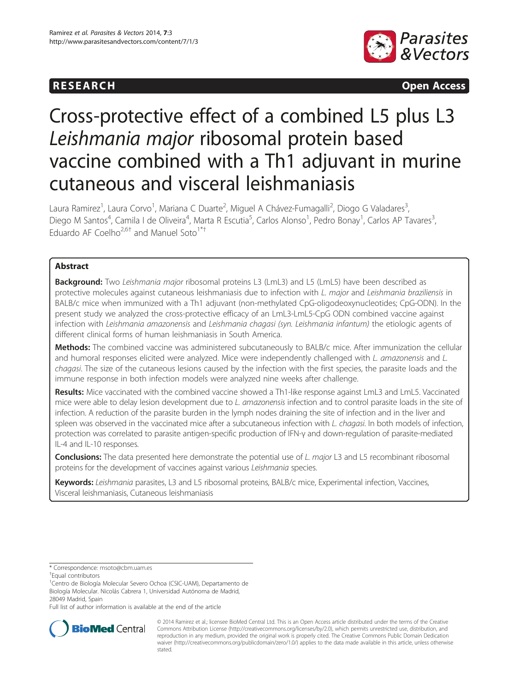



# Cross-protective effect of a combined L5 plus L3 Leishmania major ribosomal protein based vaccine combined with a Th1 adjuvant in murine cutaneous and visceral leishmaniasis

Laura Ramirez<sup>1</sup>, Laura Corvo<sup>1</sup>, Mariana C Duarte<sup>2</sup>, Miguel A Chávez-Fumagalli<sup>2</sup>, Diogo G Valadares<sup>3</sup> , Diego M Santos<sup>4</sup>, Camila I de Oliveira<sup>4</sup>, Marta R Escutia<sup>5</sup>, Carlos Alonso<sup>1</sup>, Pedro Bonay<sup>1</sup>, Carlos AP Tavares<sup>3</sup> , Eduardo AF Coelho<sup>2,6†</sup> and Manuel Soto<sup>1\*†</sup>

# Abstract

**Background:** Two Leishmania major ribosomal proteins L3 (LmL3) and L5 (LmL5) have been described as protective molecules against cutaneous leishmaniasis due to infection with L. major and Leishmania braziliensis in BALB/c mice when immunized with a Th1 adjuvant (non-methylated CpG-oligodeoxynucleotides; CpG-ODN). In the present study we analyzed the cross-protective efficacy of an LmL3-LmL5-CpG ODN combined vaccine against infection with Leishmania amazonensis and Leishmania chagasi (syn. Leishmania infantum) the etiologic agents of different clinical forms of human leishmaniasis in South America.

Methods: The combined vaccine was administered subcutaneously to BALB/c mice. After immunization the cellular and humoral responses elicited were analyzed. Mice were independently challenged with L. amazonensis and L. chagasi. The size of the cutaneous lesions caused by the infection with the first species, the parasite loads and the immune response in both infection models were analyzed nine weeks after challenge.

Results: Mice vaccinated with the combined vaccine showed a Th1-like response against LmL3 and LmL5. Vaccinated mice were able to delay lesion development due to L. amazonensis infection and to control parasite loads in the site of infection. A reduction of the parasite burden in the lymph nodes draining the site of infection and in the liver and spleen was observed in the vaccinated mice after a subcutaneous infection with L. chagasi. In both models of infection, protection was correlated to parasite antigen-specific production of IFN-γ and down-regulation of parasite-mediated IL-4 and IL-10 responses.

Conclusions: The data presented here demonstrate the potential use of L. major L3 and L5 recombinant ribosomal proteins for the development of vaccines against various Leishmania species.

Keywords: Leishmania parasites, L3 and L5 ribosomal proteins, BALB/c mice, Experimental infection, Vaccines, Visceral leishmaniasis, Cutaneous leishmaniasis

Full list of author information is available at the end of the article



© 2014 Ramirez et al.; licensee BioMed Central Ltd. This is an Open Access article distributed under the terms of the Creative Commons Attribution License [\(http://creativecommons.org/licenses/by/2.0\)](http://creativecommons.org/licenses/by/2.0), which permits unrestricted use, distribution, and reproduction in any medium, provided the original work is properly cited. The Creative Commons Public Domain Dedication waiver [\(http://creativecommons.org/publicdomain/zero/1.0/\)](http://creativecommons.org/publicdomain/zero/1.0/) applies to the data made available in this article, unless otherwise stated.

<sup>\*</sup> Correspondence: [msoto@cbm.uam.es](mailto:msoto@cbm.uam.es) †

Equal contributors

<sup>&</sup>lt;sup>1</sup>Centro de Biología Molecular Severo Ochoa (CSIC-UAM), Departamento de Biología Molecular. Nicolás Cabrera 1, Universidad Autónoma de Madrid, 28049 Madrid, Spain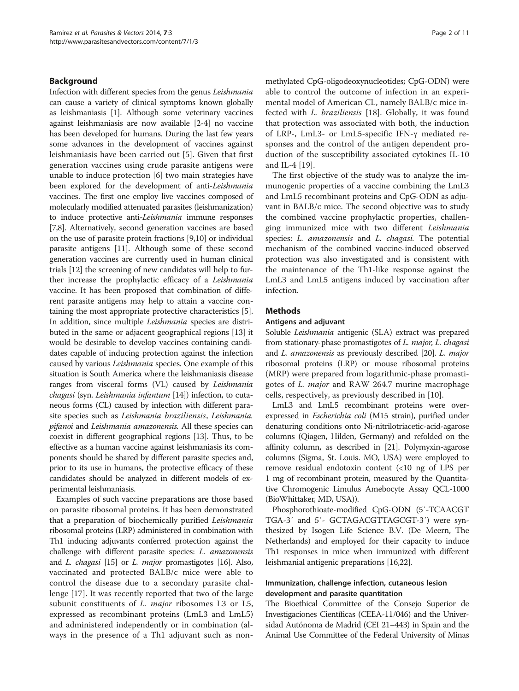# Background

Infection with different species from the genus Leishmania can cause a variety of clinical symptoms known globally as leishmaniasis [\[1\]](#page-9-0). Although some veterinary vaccines against leishmaniasis are now available [[2](#page-9-0)-[4\]](#page-9-0) no vaccine has been developed for humans. During the last few years some advances in the development of vaccines against leishmaniasis have been carried out [[5\]](#page-9-0). Given that first generation vaccines using crude parasite antigens were unable to induce protection [[6\]](#page-9-0) two main strategies have been explored for the development of anti-Leishmania vaccines. The first one employ live vaccines composed of molecularly modified attenuated parasites (leishmanization) to induce protective anti-Leishmania immune responses [[7,8](#page-9-0)]. Alternatively, second generation vaccines are based on the use of parasite protein fractions [\[9,10\]](#page-9-0) or individual parasite antigens [\[11](#page-9-0)]. Although some of these second generation vaccines are currently used in human clinical trials [\[12\]](#page-9-0) the screening of new candidates will help to further increase the prophylactic efficacy of a Leishmania vaccine. It has been proposed that combination of different parasite antigens may help to attain a vaccine containing the most appropriate protective characteristics [[5](#page-9-0)]. In addition, since multiple Leishmania species are distributed in the same or adjacent geographical regions [\[13\]](#page-9-0) it would be desirable to develop vaccines containing candidates capable of inducing protection against the infection caused by various Leishmania species. One example of this situation is South America where the leishmaniasis disease ranges from visceral forms (VL) caused by Leishmania chagasi (syn. Leishmania infantum [\[14\]](#page-9-0)) infection, to cutaneous forms (CL) caused by infection with different parasite species such as Leishmania braziliensis, Leishmania. pifanoi and Leishmania amazonensis. All these species can coexist in different geographical regions [[13](#page-9-0)]. Thus, to be effective as a human vaccine against leishmaniasis its components should be shared by different parasite species and, prior to its use in humans, the protective efficacy of these candidates should be analyzed in different models of experimental leishmaniasis.

Examples of such vaccine preparations are those based on parasite ribosomal proteins. It has been demonstrated that a preparation of biochemically purified Leishmania ribosomal proteins (LRP) administered in combination with Th1 inducing adjuvants conferred protection against the challenge with different parasite species: L. amazonensis and L. chagasi [\[15\]](#page-9-0) or L. major promastigotes [\[16\]](#page-9-0). Also, vaccinated and protected BALB/c mice were able to control the disease due to a secondary parasite challenge [[17\]](#page-9-0). It was recently reported that two of the large subunit constituents of *L. major* ribosomes L3 or L5, expressed as recombinant proteins (LmL3 and LmL5) and administered independently or in combination (always in the presence of a Th1 adjuvant such as nonmethylated CpG-oligodeoxynucleotides; CpG-ODN) were able to control the outcome of infection in an experimental model of American CL, namely BALB/c mice infected with L. braziliensis [[18\]](#page-9-0). Globally, it was found that protection was associated with both, the induction of LRP-, LmL3- or LmL5-specific IFN-γ mediated responses and the control of the antigen dependent production of the susceptibility associated cytokines IL-10 and IL-4 [\[19](#page-9-0)].

The first objective of the study was to analyze the immunogenic properties of a vaccine combining the LmL3 and LmL5 recombinant proteins and CpG-ODN as adjuvant in BALB/c mice. The second objective was to study the combined vaccine prophylactic properties, challenging immunized mice with two different Leishmania species: L. amazonensis and L. chagasi. The potential mechanism of the combined vaccine-induced observed protection was also investigated and is consistent with the maintenance of the Th1-like response against the LmL3 and LmL5 antigens induced by vaccination after infection.

# Methods

### Antigens and adjuvant

Soluble Leishmania antigenic (SLA) extract was prepared from stationary-phase promastigotes of L. major, L. chagasi and L. amazonensis as previously described [\[20\]](#page-9-0). L. major ribosomal proteins (LRP) or mouse ribosomal proteins (MRP) were prepared from logarithmic-phase promastigotes of L. major and RAW 264.7 murine macrophage cells, respectively, as previously described in [[10\]](#page-9-0).

LmL3 and LmL5 recombinant proteins were overexpressed in Escherichia coli (M15 strain), purified under denaturing conditions onto Ni-nitrilotriacetic-acid-agarose columns (Qiagen, Hilden, Germany) and refolded on the affinity column, as described in [[21](#page-9-0)]. Polymyxin-agarose columns (Sigma, St. Louis. MO, USA) were employed to remove residual endotoxin content (<10 ng of LPS per 1 mg of recombinant protein, measured by the Quantitative Chromogenic Limulus Amebocyte Assay QCL-1000 (BioWhittaker, MD, USA)).

Phosphorothioate-modified CpG-ODN (5′-TCAACGT TGA-3′ and 5′- GCTAGACGTTAGCGT-3′) were synthesized by Isogen Life Science B.V. (De Meern, The Netherlands) and employed for their capacity to induce Th1 responses in mice when immunized with different leishmanial antigenic preparations [\[16,22](#page-9-0)].

# Immunization, challenge infection, cutaneous lesion development and parasite quantitation

The Bioethical Committee of the Consejo Superior de Investigaciones Científicas (CEEA-11/046) and the Universidad Autónoma de Madrid (CEI 21–443) in Spain and the Animal Use Committee of the Federal University of Minas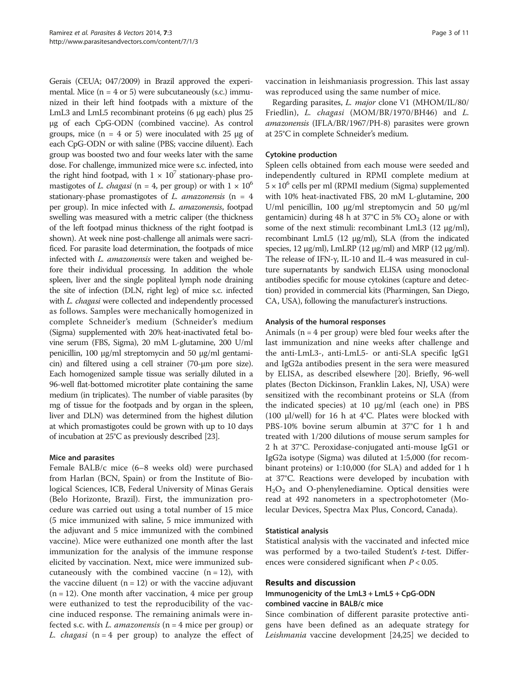Gerais (CEUA; 047/2009) in Brazil approved the experimental. Mice  $(n = 4 \text{ or } 5)$  were subcutaneously (s.c.) immunized in their left hind footpads with a mixture of the LmL3 and LmL5 recombinant proteins (6 μg each) plus 25 μg of each CpG-ODN (combined vaccine). As control groups, mice (n = 4 or 5) were inoculated with 25 μg of each CpG-ODN or with saline (PBS; vaccine diluent). Each group was boosted two and four weeks later with the same dose. For challenge, immunized mice were s.c. infected, into the right hind footpad, with  $1 \times 10^7$  stationary-phase promastigotes of L. chagasi (n = 4, per group) or with  $1 \times 10^6$ stationary-phase promastigotes of L. amazonensis  $(n = 4)$ per group). In mice infected with L. amazonensis, footpad swelling was measured with a metric caliper (the thickness of the left footpad minus thickness of the right footpad is shown). At week nine post-challenge all animals were sacrificed. For parasite load determination, the footpads of mice infected with *L. amazonensis* were taken and weighed before their individual processing. In addition the whole spleen, liver and the single popliteal lymph node draining the site of infection (DLN, right leg) of mice s.c. infected with *L. chagasi* were collected and independently processed as follows. Samples were mechanically homogenized in complete Schneider's medium (Schneider's medium (Sigma) supplemented with 20% heat-inactivated fetal bovine serum (FBS, Sigma), 20 mM L-glutamine, 200 U/ml penicillin, 100 μg/ml streptomycin and 50 μg/ml gentamicin) and filtered using a cell strainer (70-μm pore size). Each homogenized sample tissue was serially diluted in a 96-well flat-bottomed microtiter plate containing the same medium (in triplicates). The number of viable parasites (by mg of tissue for the footpads and by organ in the spleen, liver and DLN) was determined from the highest dilution at which promastigotes could be grown with up to 10 days of incubation at 25°C as previously described [[23](#page-9-0)].

# Mice and parasites

Female BALB/c mice (6–8 weeks old) were purchased from Harlan (BCN, Spain) or from the Institute of Biological Sciences, ICB, Federal University of Minas Gerais (Belo Horizonte, Brazil). First, the immunization procedure was carried out using a total number of 15 mice (5 mice immunized with saline, 5 mice immunized with the adjuvant and 5 mice immunized with the combined vaccine). Mice were euthanized one month after the last immunization for the analysis of the immune response elicited by vaccination. Next, mice were immunized subcutaneously with the combined vaccine  $(n = 12)$ , with the vaccine diluent  $(n = 12)$  or with the vaccine adjuvant  $(n = 12)$ . One month after vaccination, 4 mice per group were euthanized to test the reproducibility of the vaccine induced response. The remaining animals were infected s.c. with *L. amazonensis* ( $n = 4$  mice per group) or L. *chagasi*  $(n = 4$  per group) to analyze the effect of vaccination in leishmaniasis progression. This last assay was reproduced using the same number of mice.

Regarding parasites, L. major clone V1 (MHOM/IL/80/ Friedlin), L. chagasi (MOM/BR/1970/BH46) and L. amazonensis (IFLA/BR/1967/PH-8) parasites were grown at 25°C in complete Schneider's medium.

# Cytokine production

Spleen cells obtained from each mouse were seeded and independently cultured in RPMI complete medium at  $5 \times 10^{6}$  cells per ml (RPMI medium (Sigma) supplemented with 10% heat-inactivated FBS, 20 mM L-glutamine, 200 U/ml penicillin, 100 μg/ml streptomycin and 50 μg/ml gentamicin) during 48 h at  $37^{\circ}$ C in 5% CO<sub>2</sub> alone or with some of the next stimuli: recombinant LmL3 (12 μg/ml), recombinant LmL5 (12 μg/ml), SLA (from the indicated species,  $12 \mu g/ml$ , LmLRP  $(12 \mu g/ml)$  and MRP  $(12 \mu g/ml)$ . The release of IFN-γ, IL-10 and IL-4 was measured in culture supernatants by sandwich ELISA using monoclonal antibodies specific for mouse cytokines (capture and detection) provided in commercial kits (Pharmingen, San Diego, CA, USA), following the manufacturer's instructions.

# Analysis of the humoral responses

Animals ( $n = 4$  per group) were bled four weeks after the last immunization and nine weeks after challenge and the anti-LmL3-, anti-LmL5- or anti-SLA specific IgG1 and IgG2a antibodies present in the sera were measured by ELISA, as described elsewhere [\[20\]](#page-9-0). Briefly, 96-well plates (Becton Dickinson, Franklin Lakes, NJ, USA) were sensitized with the recombinant proteins or SLA (from the indicated species) at 10 μg/ml (each one) in PBS (100 μl/well) for 16 h at 4°C. Plates were blocked with PBS-10% bovine serum albumin at 37°C for 1 h and treated with 1/200 dilutions of mouse serum samples for 2 h at 37°C. Peroxidase-conjugated anti-mouse IgG1 or IgG2a isotype (Sigma) was diluted at 1:5,000 (for recombinant proteins) or 1:10,000 (for SLA) and added for 1 h at 37°C. Reactions were developed by incubation with  $H<sub>2</sub>O<sub>2</sub>$  and O-phenylenediamine. Optical densities were read at 492 nanometers in a spectrophotometer (Molecular Devices, Spectra Max Plus, Concord, Canada).

# Statistical analysis

Statistical analysis with the vaccinated and infected mice was performed by a two-tailed Student's t-test. Differences were considered significant when  $P < 0.05$ .

# Results and discussion

# Immunogenicity of the LmL3 + LmL5 + CpG-ODN combined vaccine in BALB/c mice

Since combination of different parasite protective antigens have been defined as an adequate strategy for Leishmania vaccine development [\[24,25\]](#page-9-0) we decided to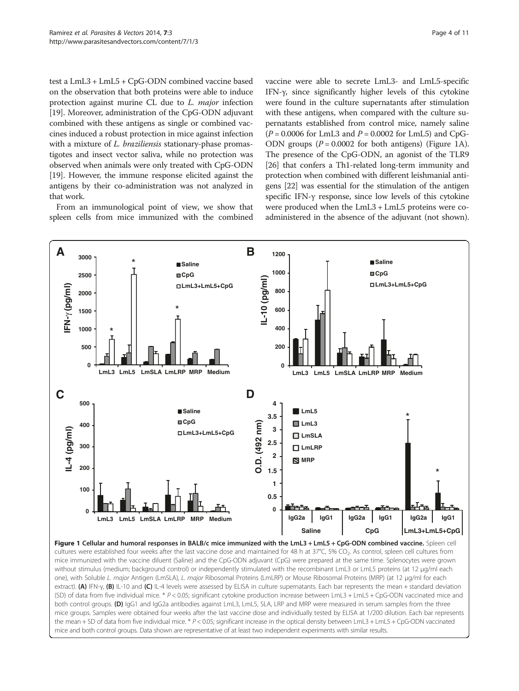<span id="page-3-0"></span>test a LmL3 + LmL5 + CpG-ODN combined vaccine based on the observation that both proteins were able to induce protection against murine CL due to L. major infection [[19](#page-9-0)]. Moreover, administration of the CpG-ODN adjuvant combined with these antigens as single or combined vaccines induced a robust protection in mice against infection with a mixture of *L. braziliensis* stationary-phase promastigotes and insect vector saliva, while no protection was observed when animals were only treated with CpG-ODN [[19](#page-9-0)]. However, the immune response elicited against the antigens by their co-administration was not analyzed in that work.

From an immunological point of view, we show that spleen cells from mice immunized with the combined

vaccine were able to secrete LmL3- and LmL5-specific IFN-γ, since significantly higher levels of this cytokine were found in the culture supernatants after stimulation with these antigens, when compared with the culture supernatants established from control mice, namely saline  $(P = 0.0006$  for LmL3 and  $P = 0.0002$  for LmL5) and CpG-ODN groups  $(P = 0.0002$  for both antigens) (Figure 1A). The presence of the CpG-ODN, an agonist of the TLR9 [[26](#page-9-0)] that confers a Th1-related long-term immunity and protection when combined with different leishmanial antigens [\[22\]](#page-9-0) was essential for the stimulation of the antigen specific IFN-γ response, since low levels of this cytokine were produced when the LmL3 + LmL5 proteins were coadministered in the absence of the adjuvant (not shown).



cultures were established four weeks after the last vaccine dose and maintained for 48 h at 37°C, 5% CO2. As control, spleen cell cultures from mice immunized with the vaccine diluent (Saline) and the CpG-ODN adjuvant (CpG) were prepared at the same time. Splenocytes were grown without stimulus (medium; background control) or independently stimulated with the recombinant LmL3 or LmL5 proteins (at 12 μg/ml each one), with Soluble L. major Antigen (LmSLA), L. major Ribosomal Proteins (LmLRP) or Mouse Ribosomal Proteins (MRP) (at 12 μg/ml for each extract). (A) IFN-γ, (B) IL-10 and (C) IL-4 levels were assessed by ELISA in culture supernatants. Each bar represents the mean + standard deviation (SD) of data from five individual mice. \* P < 0.05; significant cytokine production increase between LmL3 + LmL5 + CpG-ODN vaccinated mice and both control groups. (D) IgG1 and IgG2a antibodies against LmL3, LmL5, SLA, LRP and MRP were measured in serum samples from the three mice groups. Samples were obtained four weeks after the last vaccine dose and individually tested by ELISA at 1/200 dilution. Each bar represents the mean + SD of data from five individual mice. \* P < 0.05; significant increase in the optical density between LmL3 + LmL5 + CpG-ODN vaccinated mice and both control groups. Data shown are representative of at least two independent experiments with similar results.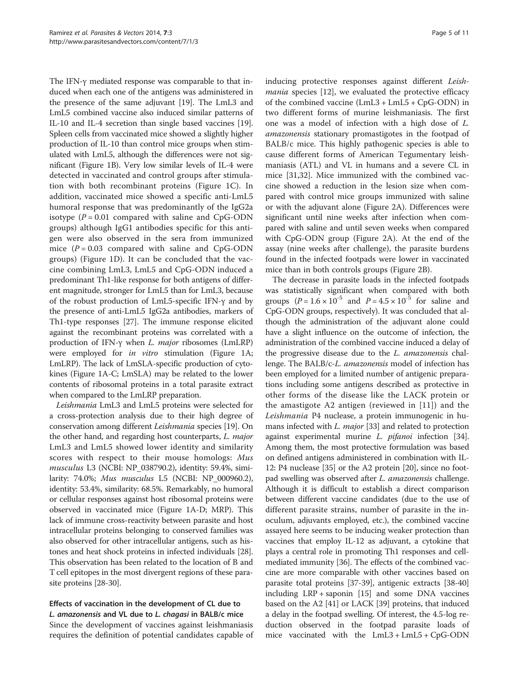The IFN-γ mediated response was comparable to that induced when each one of the antigens was administered in the presence of the same adjuvant [\[19\]](#page-9-0). The LmL3 and LmL5 combined vaccine also induced similar patterns of IL-10 and IL-4 secretion than single based vaccines [[19](#page-9-0)]. Spleen cells from vaccinated mice showed a slightly higher production of IL-10 than control mice groups when stimulated with LmL5, although the differences were not significant (Figure [1](#page-3-0)B). Very low similar levels of IL-4 were detected in vaccinated and control groups after stimulation with both recombinant proteins (Figure [1](#page-3-0)C). In addition, vaccinated mice showed a specific anti-LmL5 humoral response that was predominantly of the IgG2a isotype  $(P = 0.01$  compared with saline and CpG-ODN groups) although IgG1 antibodies specific for this antigen were also observed in the sera from immunized mice  $(P = 0.03$  compared with saline and CpG-ODN groups) (Figure [1D](#page-3-0)). It can be concluded that the vaccine combining LmL3, LmL5 and CpG-ODN induced a predominant Th1-like response for both antigens of different magnitude, stronger for LmL5 than for LmL3, because of the robust production of LmL5-specific IFN-γ and by the presence of anti-LmL5 IgG2a antibodies, markers of Th1-type responses [\[27](#page-9-0)]. The immune response elicited against the recombinant proteins was correlated with a production of IFN-<sup>γ</sup> when L. major ribosomes (LmLRP) were employed for in vitro stimulation (Figure [1A](#page-3-0); LmLRP). The lack of LmSLA-specific production of cytokines (Figure [1](#page-3-0)A-C; LmSLA) may be related to the lower contents of ribosomal proteins in a total parasite extract when compared to the LmLRP preparation.

Leishmania LmL3 and LmL5 proteins were selected for a cross-protection analysis due to their high degree of conservation among different Leishmania species [\[19\]](#page-9-0). On the other hand, and regarding host counterparts, L. major LmL3 and LmL5 showed lower identity and similarity scores with respect to their mouse homologs: Mus musculus L3 (NCBI: NP\_038790.2), identity: 59.4%, similarity: 74.0%; Mus musculus L5 (NCBI: NP\_000960.2), identity: 53.4%, similarity: 68.5%. Remarkably, no humoral or cellular responses against host ribosomal proteins were observed in vaccinated mice (Figure [1](#page-3-0)A-D; MRP). This lack of immune cross-reactivity between parasite and host intracellular proteins belonging to conserved families was also observed for other intracellular antigens, such as histones and heat shock proteins in infected individuals [[28](#page-9-0)]. This observation has been related to the location of B and T cell epitopes in the most divergent regions of these parasite proteins [\[28-30\]](#page-9-0).

# Effects of vaccination in the development of CL due to L. amazonensis and VL due to L. chagasi in BALB/c mice

Since the development of vaccines against leishmaniasis requires the definition of potential candidates capable of inducing protective responses against different Leish-mania species [[12\]](#page-9-0), we evaluated the protective efficacy of the combined vaccine (LmL3 + LmL5 + CpG-ODN) in two different forms of murine leishmaniasis. The first one was a model of infection with a high dose of L. amazonensis stationary promastigotes in the footpad of BALB/c mice. This highly pathogenic species is able to cause different forms of American Tegumentary leishmaniasis (ATL) and VL in humans and a severe CL in mice [[31](#page-10-0),[32](#page-10-0)]. Mice immunized with the combined vaccine showed a reduction in the lesion size when compared with control mice groups immunized with saline or with the adjuvant alone (Figure [2A](#page-5-0)). Differences were significant until nine weeks after infection when compared with saline and until seven weeks when compared with CpG-ODN group (Figure [2](#page-5-0)A). At the end of the assay (nine weeks after challenge), the parasite burdens found in the infected footpads were lower in vaccinated mice than in both controls groups (Figure [2B](#page-5-0)).

The decrease in parasite loads in the infected footpads was statistically significant when compared with both groups  $(P = 1.6 \times 10^{-5}$  and  $P = 4.5 \times 10^{-5}$  for saline and CpG-ODN groups, respectively). It was concluded that although the administration of the adjuvant alone could have a slight influence on the outcome of infection, the administration of the combined vaccine induced a delay of the progressive disease due to the L. amazonensis challenge. The BALB/c-L. amazonensis model of infection has been employed for a limited number of antigenic preparations including some antigens described as protective in other forms of the disease like the LACK protein or the amastigote A2 antigen (reviewed in [[11\]](#page-9-0)) and the Leishmania P4 nuclease, a protein immunogenic in humans infected with L. major [\[33\]](#page-10-0) and related to protection against experimental murine L. pifanoi infection [[34](#page-10-0)]. Among them, the most protective formulation was based on defined antigens administered in combination with IL-12: P4 nuclease [[35](#page-10-0)] or the A2 protein [\[20\]](#page-9-0), since no footpad swelling was observed after L. amazonensis challenge. Although it is difficult to establish a direct comparison between different vaccine candidates (due to the use of different parasite strains, number of parasite in the inoculum, adjuvants employed, etc.), the combined vaccine assayed here seems to be inducing weaker protection than vaccines that employ IL-12 as adjuvant, a cytokine that plays a central role in promoting Th1 responses and cellmediated immunity [\[36\]](#page-10-0). The effects of the combined vaccine are more comparable with other vaccines based on parasite total proteins [[37-39\]](#page-10-0), antigenic extracts [[38](#page-10-0)-[40](#page-10-0)] including LRP + saponin [[15](#page-9-0)] and some DNA vaccines based on the A2 [\[41](#page-10-0)] or LACK [[39](#page-10-0)] proteins, that induced a delay in the footpad swelling. Of interest, the 4.5-log reduction observed in the footpad parasite loads of mice vaccinated with the LmL3 + LmL5 + CpG-ODN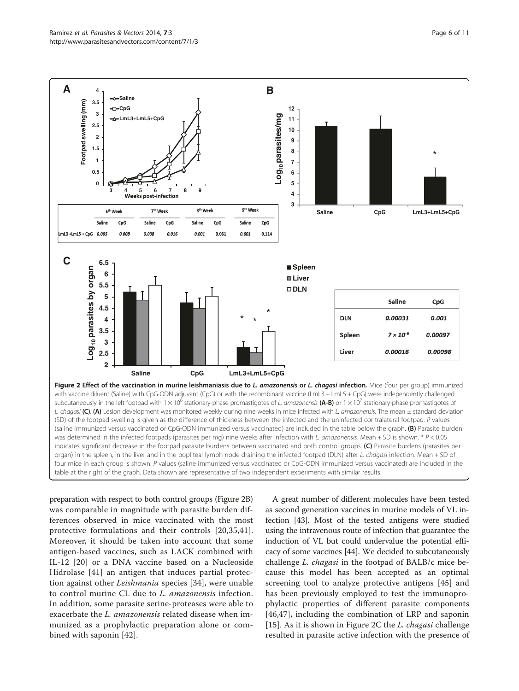<span id="page-5-0"></span>

indicates significant decrease in the footpad parasite burdens between vaccinated and both control groups. (C) Parasite burdens (parasites per organ) in the spleen, in the liver and in the popliteal lymph node draining the infected footpad (DLN) after L. chagasi infection. Mean + SD of four mice in each group is shown. P values (saline immunized versus vaccinated or CpG-ODN immunized versus vaccinated) are included in the table at the right of the graph. Data shown are representative of two independent experiments with similar results.

preparation with respect to both control groups (Figure 2B) was comparable in magnitude with parasite burden differences observed in mice vaccinated with the most protective formulations and their controls [[20](#page-9-0),[35,41](#page-10-0)]. Moreover, it should be taken into account that some antigen-based vaccines, such as LACK combined with IL-12 [[20\]](#page-9-0) or a DNA vaccine based on a Nucleoside Hidrolase [[41\]](#page-10-0) an antigen that induces partial protection against other Leishmania species [\[34](#page-10-0)], were unable to control murine CL due to L. amazonensis infection. In addition, some parasite serine-proteases were able to exacerbate the *L. amazonensis* related disease when immunized as a prophylactic preparation alone or combined with saponin [[42\]](#page-10-0).

A great number of different molecules have been tested as second generation vaccines in murine models of VL infection [\[43](#page-10-0)]. Most of the tested antigens were studied using the intravenous route of infection that guarantee the induction of VL but could undervalue the potential efficacy of some vaccines [\[44\]](#page-10-0). We decided to subcutaneously challenge L. chagasi in the footpad of BALB/c mice because this model has been accepted as an optimal screening tool to analyze protective antigens [[45\]](#page-10-0) and has been previously employed to test the immunoprophylactic properties of different parasite components [[46,47](#page-10-0)], including the combination of LRP and saponin [[15\]](#page-9-0). As it is shown in Figure 2C the L. chagasi challenge resulted in parasite active infection with the presence of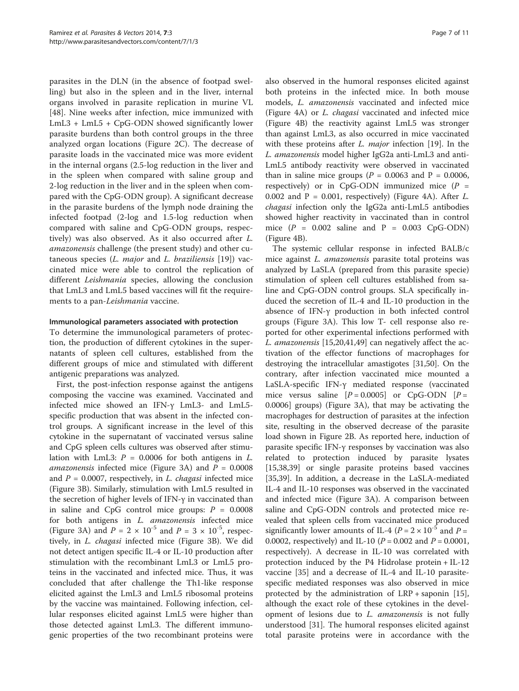parasites in the DLN (in the absence of footpad swelling) but also in the spleen and in the liver, internal organs involved in parasite replication in murine VL [[48\]](#page-10-0). Nine weeks after infection, mice immunized with LmL3 + LmL5 + CpG-ODN showed significantly lower parasite burdens than both control groups in the three analyzed organ locations (Figure [2](#page-5-0)C). The decrease of parasite loads in the vaccinated mice was more evident in the internal organs (2.5-log reduction in the liver and in the spleen when compared with saline group and 2-log reduction in the liver and in the spleen when compared with the CpG-ODN group). A significant decrease in the parasite burdens of the lymph node draining the infected footpad (2-log and 1.5-log reduction when compared with saline and CpG-ODN groups, respectively) was also observed. As it also occurred after L. amazonensis challenge (the present study) and other cutaneous species  $(L.$  major and  $L.$  braziliensis [\[19](#page-9-0)]) vaccinated mice were able to control the replication of different *Leishmania* species, allowing the conclusion that LmL3 and LmL5 based vaccines will fit the requirements to a pan-Leishmania vaccine.

# Immunological parameters associated with protection

To determine the immunological parameters of protection, the production of different cytokines in the supernatants of spleen cell cultures, established from the different groups of mice and stimulated with different antigenic preparations was analyzed.

First, the post-infection response against the antigens composing the vaccine was examined. Vaccinated and infected mice showed an IFN-γ LmL3- and LmL5 specific production that was absent in the infected control groups. A significant increase in the level of this cytokine in the supernatant of vaccinated versus saline and CpG spleen cells cultures was observed after stimulation with LmL3:  $P = 0.0006$  for both antigens in L. *amazonensis* infected mice (Figure [3A](#page-7-0)) and  $P = 0.0008$ and  $P = 0.0007$ , respectively, in *L. chagasi* infected mice (Figure [3B](#page-7-0)). Similarly, stimulation with LmL5 resulted in the secretion of higher levels of IFN-γ in vaccinated than in saline and CpG control mice groups:  $P = 0.0008$ for both antigens in L. amazonensis infected mice (Figure [3](#page-7-0)A) and  $P = 2 \times 10^{-5}$  and  $P = 3 \times 10^{-5}$ , respectively, in L. chagasi infected mice (Figure [3](#page-7-0)B). We did not detect antigen specific IL-4 or IL-10 production after stimulation with the recombinant LmL3 or LmL5 proteins in the vaccinated and infected mice. Thus, it was concluded that after challenge the Th1-like response elicited against the LmL3 and LmL5 ribosomal proteins by the vaccine was maintained. Following infection, cellular responses elicited against LmL5 were higher than those detected against LmL3. The different immunogenic properties of the two recombinant proteins were

also observed in the humoral responses elicited against both proteins in the infected mice. In both mouse models, L. amazonensis vaccinated and infected mice (Figure [4A](#page-8-0)) or L. chagasi vaccinated and infected mice (Figure [4](#page-8-0)B) the reactivity against LmL5 was stronger than against LmL3, as also occurred in mice vaccinated with these proteins after L. *major* infection [[19\]](#page-9-0). In the L. amazonensis model higher IgG2a anti-LmL3 and anti-LmL5 antibody reactivity were observed in vaccinated than in saline mice groups ( $P = 0.0063$  and  $P = 0.0006$ , respectively) or in CpG-ODN immunized mice  $(P =$ 0.002 and  $P = 0.001$ , respectively) (Figure [4A](#page-8-0)). After L. chagasi infection only the IgG2a anti-LmL5 antibodies showed higher reactivity in vaccinated than in control mice  $(P = 0.002$  saline and  $P = 0.003$  CpG-ODN) (Figure [4B](#page-8-0)).

The systemic cellular response in infected BALB/c mice against *L. amazonensis* parasite total proteins was analyzed by LaSLA (prepared from this parasite specie) stimulation of spleen cell cultures established from saline and CpG-ODN control groups. SLA specifically induced the secretion of IL-4 and IL-10 production in the absence of IFN-γ production in both infected control groups (Figure [3](#page-7-0)A). This low T- cell response also reported for other experimental infections performed with L. amazonensis [[15,20,](#page-9-0)[41,49\]](#page-10-0) can negatively affect the activation of the effector functions of macrophages for destroying the intracellular amastigotes [\[31,50\]](#page-10-0). On the contrary, after infection vaccinated mice mounted a LaSLA-specific IFN-γ mediated response (vaccinated mice versus saline  $[P = 0.0005]$  or CpG-ODN  $[P =$ 0.0006] groups) (Figure [3](#page-7-0)A), that may be activating the macrophages for destruction of parasites at the infection site, resulting in the observed decrease of the parasite load shown in Figure [2B](#page-5-0). As reported here, induction of parasite specific IFN-γ responses by vaccination was also related to protection induced by parasite lysates [[15,](#page-9-0)[38,39\]](#page-10-0) or single parasite proteins based vaccines [[35,39\]](#page-10-0). In addition, a decrease in the LaSLA-mediated IL-4 and IL-10 responses was observed in the vaccinated and infected mice (Figure [3](#page-7-0)A). A comparison between saline and CpG-ODN controls and protected mice revealed that spleen cells from vaccinated mice produced significantly lower amounts of IL-4 ( $P = 2 \times 10^{-5}$  and  $P =$ 0.0002, respectively) and IL-10 ( $P = 0.002$  and  $P = 0.0001$ , respectively). A decrease in IL-10 was correlated with protection induced by the P4 Hidrolase protein + IL-12 vaccine [[35\]](#page-10-0) and a decrease of IL-4 and IL-10 parasitespecific mediated responses was also observed in mice protected by the administration of LRP + saponin [\[15](#page-9-0)], although the exact role of these cytokines in the development of lesions due to L. amazonensis is not fully understood [[31\]](#page-10-0). The humoral responses elicited against total parasite proteins were in accordance with the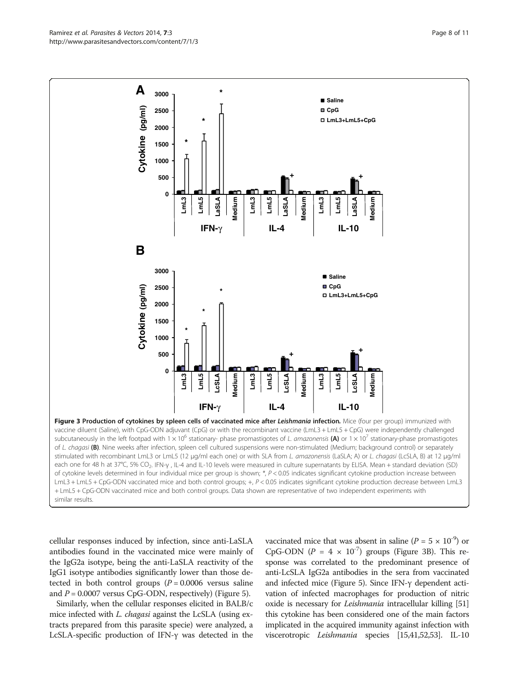<span id="page-7-0"></span>

cellular responses induced by infection, since anti-LaSLA antibodies found in the vaccinated mice were mainly of the IgG2a isotype, being the anti-LaSLA reactivity of the IgG1 isotype antibodies significantly lower than those detected in both control groups  $(P = 0.0006$  versus saline and  $P = 0.0007$  versus CpG-ODN, respectively) (Figure [5](#page-8-0)).

Similarly, when the cellular responses elicited in BALB/c mice infected with *L. chagasi* against the LcSLA (using extracts prepared from this parasite specie) were analyzed, a LcSLA-specific production of IFN-γ was detected in the vaccinated mice that was absent in saline ( $P = 5 \times 10^{-9}$ ) or CpG-ODN ( $P = 4 \times 10^{-7}$ ) groups (Figure 3B). This response was correlated to the predominant presence of anti-LcSLA IgG2a antibodies in the sera from vaccinated and infected mice (Figure [5](#page-8-0)). Since IFN-γ dependent activation of infected macrophages for production of nitric oxide is necessary for Leishmania intracellular killing [\[51](#page-10-0)] this cytokine has been considered one of the main factors implicated in the acquired immunity against infection with viscerotropic Leishmania species [\[15](#page-9-0)[,41,52,53\]](#page-10-0). IL-10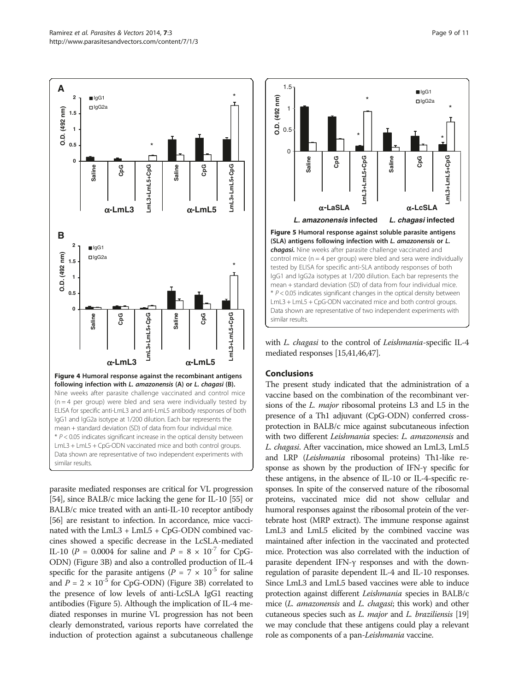<span id="page-8-0"></span>

parasite mediated responses are critical for VL progression [[54](#page-10-0)], since BALB/c mice lacking the gene for IL-10 [\[55\]](#page-10-0) or BALB/c mice treated with an anti-IL-10 receptor antibody [[56](#page-10-0)] are resistant to infection. In accordance, mice vaccinated with the  $LmL3 + LmL5 + CpG-ODN$  combined vaccines showed a specific decrease in the LcSLA-mediated IL-10 ( $P = 0.0004$  for saline and  $P = 8 \times 10^{-7}$  for CpG-ODN) (Figure [3B](#page-7-0)) and also a controlled production of IL-4 specific for the parasite antigens ( $P = 7 \times 10^{-5}$  for saline and  $P = 2 \times 10^{-5}$  for CpG-ODN) (Figure [3B](#page-7-0)) correlated to the presence of low levels of anti-LcSLA IgG1 reacting antibodies (Figure 5). Although the implication of IL-4 mediated responses in murine VL progression has not been clearly demonstrated, various reports have correlated the induction of protection against a subcutaneous challenge



with L. chagasi to the control of Leishmania-specific IL-4 mediated responses [[15](#page-9-0)[,41,46,47\]](#page-10-0).

# **Conclusions**

The present study indicated that the administration of a vaccine based on the combination of the recombinant versions of the L. major ribosomal proteins L3 and L5 in the presence of a Th1 adjuvant (CpG-ODN) conferred crossprotection in BALB/c mice against subcutaneous infection with two different Leishmania species: L. amazonensis and L. chagasi. After vaccination, mice showed an LmL3, LmL5 and LRP (Leishmania ribosomal proteins) Th1-like response as shown by the production of IFN-γ specific for these antigens, in the absence of IL-10 or IL-4-specific responses. In spite of the conserved nature of the ribosomal proteins, vaccinated mice did not show cellular and humoral responses against the ribosomal protein of the vertebrate host (MRP extract). The immune response against LmL3 and LmL5 elicited by the combined vaccine was maintained after infection in the vaccinated and protected mice. Protection was also correlated with the induction of parasite dependent IFN-γ responses and with the downregulation of parasite dependent IL-4 and IL-10 responses. Since LmL3 and LmL5 based vaccines were able to induce protection against different Leishmania species in BALB/c mice (L. amazonensis and L. chagasi; this work) and other cutaneous species such as  $L$ . *major* and  $L$ . *braziliensis* [\[19](#page-9-0)] we may conclude that these antigens could play a relevant role as components of a pan-Leishmania vaccine.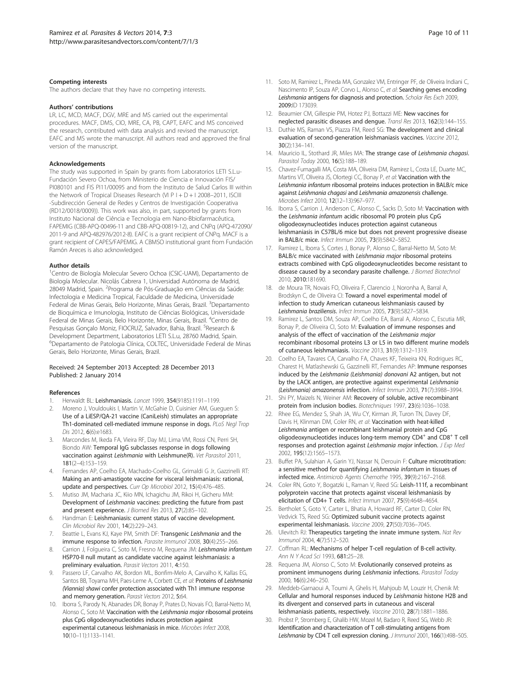### <span id="page-9-0"></span>Competing interests

The authors declare that they have no competing interests.

### Authors' contributions

LR, LC, MCD, MACF, DGV, MRE and MS carried out the experimental procedures. MACF, DMS, CIO, MRE, CA, PB, CAPT, EAFC and MS conceived the research, contributed with data analysis and revised the manuscript. EAFC and MS wrote the manuscript. All authors read and approved the final version of the manuscript.

### Acknowledgements

The study was supported in Spain by grants from Laboratorios LETI S.L.u-Fundación Severo Ochoa, from Ministerio de Ciencia e Innovación FIS/ PI080101 and FIS PI11/00095 and from the Instituto de Salud Carlos III within the Network of Tropical Diseases Research (VI P I + D + I 2008-2011, ISCIII -Subdirección General de Redes y Centros de Investigación Cooperativa (RD12/0018/0009)). This work was also, in part, supported by grants from Instituto Nacional de Ciência e Tecnologia em Nano-Bbiofarmacêutica, FAPEMIG (CBB-APQ-00496-11 and CBB-APQ-00819-12), and CNPq (APQ-472090/ 2011-9 and APQ-482976/2012-8). EAFC is a grant recipient of CNPq. MACF is a grant recipient of CAPES/FAPEMIG. A CBMSO institutional grant from Fundación Ramón Areces is also acknowledged.

### Author details

<sup>1</sup>Centro de Biología Molecular Severo Ochoa (CSIC-UAM), Departamento de Biología Molecular. Nicolás Cabrera 1, Universidad Autónoma de Madrid, 28049 Madrid, Spain. <sup>2</sup>Programa de Pós-Graduação em Ciências da Saúde: Infectologia e Medicina Tropical, Faculdade de Medicina, Universidade Federal de Minas Gerais, Belo Horizonte, Minas Gerais, Brazil. <sup>3</sup>Departamento de Bioquímica e Imunologia, Instituto de Ciências Biológicas, Universidade Federal de Minas Gerais, Belo Horizonte, Minas Gerais, Brazil. <sup>4</sup>Centro de Pesquisas Gonçalo Moniz, FIOCRUZ, Salvador, Bahia, Brazil. <sup>5</sup>Research & Development Department, Laboratorios LETI S.L.u, 28760 Madrid, Spain. <sup>6</sup>Departamento de Patologia Clínica, COLTEC, Universidade Federal de Minas Gerais, Belo Horizonte, Minas Gerais, Brazil.

### Received: 24 September 2013 Accepted: 28 December 2013 Published: 2 January 2014

#### References

- 1. Herwaldt BL: Leishmaniasis. Lancet 1999, 354(9185):1191–1199.
- 2. Moreno J, Vouldoukis I, Martin V, McGahie D, Cuisinier AM, Gueguen S: Use of a LiESP/QA-21 vaccine (CaniLeish) stimulates an appropriate Th1-dominated cell-mediated immune response in dogs. PLoS Negl Trop Dis 2012, 6(6):e1683.
- 3. Marcondes M, Ikeda FA, Vieira RF, Day MJ, Lima VM, Rossi CN, Perri SH, Biondo AW: Temporal IgG subclasses response in dogs following vaccination against Leishmania with Leishmune(R). Vet Parasitol 2011, 181(2–4):153–159.
- 4. Fernandes AP, Coelho EA, Machado-Coelho GL, Grimaldi G Jr, Gazzinelli RT: Making an anti-amastigote vaccine for visceral leishmaniasis: rational, update and perspectives. Curr Op Microbiol 2012, 15(4):476–485.
- 5. Mutiso JM, Macharia JC, Kiio MN, Ichagichu JM, Rikoi H, Gicheru MM: Development of Leishmania vaccines: predicting the future from past and present experience. J Biomed Res 2013, 27(2):85–102.
- 6. Handman E: Leishmaniasis: current status of vaccine development. Clin Microbiol Rev 2001, 14(2):229–243.
- 7. Beattie L, Evans KJ, Kaye PM, Smith DF: Transgenic Leishmania and the immune response to infection. Parasite Immunol 2008, 30(4):255–266.
- 8. Carrion J, Folgueira C, Soto M, Fresno M, Requena JM: Leishmania infantum HSP70-II null mutant as candidate vaccine against leishmaniasis: a preliminary evaluation. Parasit Vectors 2011, 4:150.
- Passero LF, Carvalho AK, Bordon ML, Bonfim-Melo A, Carvalho K, Kallas EG, Santos BB, Toyama MH, Paes-Leme A, Corbett CE, et al: Proteins of Leishmania (Viannia) shawi confer protection associated with Th1 immune response and memory generation. Parasit Vectors 2012, 5:64.
- 10. Iborra S, Parody N, Abanades DR, Bonay P, Prates D, Novais FO, Barral-Netto M, Alonso C, Soto M: Vaccination with the Leishmania major ribosomal proteins plus CpG oligodeoxynucleotides induces protection against experimental cutaneous leishmaniasis in mice. Microbes Infect 2008, 10(10–11):1133–1141.
- 11. Soto M, Ramirez L, Pineda MA, Gonzalez VM, Entringer PF, de Oliveira Indiani C, Nascimento IP, Souza AP, Corvo L, Alonso C, et al: Searching genes encoding Leishmania antigens for diagnosis and protection. Scholar Res Exch 2009, 2009:ID 173039.
- 12. Beaumier CM, Gillespie PM, Hotez PJ, Bottazzi ME: New vaccines for
- neglected parasitic diseases and dengue. Transl Res 2013, 162(3):144–155. 13. Duthie MS, Raman VS, Piazza FM, Reed SG: The development and clinical evaluation of second-generation leishmaniasis vaccines. Vaccine 2012, 30(2):134–141.
- 14. Mauricio IL, Stothard JR, Miles MA: The strange case of Leishmania chagasi. Parasitol Today 2000, 16(5):188–189.
- 15. Chavez-Fumagalli MA, Costa MA, Oliveira DM, Ramirez L, Costa LE, Duarte MC, Martins VT, Oliveira JS, Olortegi CC, Bonay P, et al: Vaccination with the Leishmania infantum ribosomal proteins induces protection in BALB/c mice against Leishmania chagasi and Leishmania amazonensis challenge. Microbes Infect 2010, 12(12–13):967–977.
- 16. Iborra S, Carrion J, Anderson C, Alonso C, Sacks D, Soto M: Vaccination with the Leishmania infantum acidic ribosomal P0 protein plus CpG oligodeoxynucleotides induces protection against cutaneous leishmaniasis in C57BL/6 mice but does not prevent progressive disease in BALB/c mice. Infect Immun 2005, 73(9):5842–5852.
- 17. Ramirez L, Iborra S, Cortes J, Bonay P, Alonso C, Barral-Netto M, Soto M: BALB/c mice vaccinated with Leishmania major ribosomal proteins extracts combined with CpG oligodeoxynucleotides become resistant to disease caused by a secondary parasite challenge. J Biomed Biotechnol 2010, 2010:181690.
- 18. de Moura TR, Novais FO, Oliveira F, Clarencio J, Noronha A, Barral A, Brodskyn C, de Oliveira CI: Toward a novel experimental model of infection to study American cutaneous leishmaniasis caused by Leishmania braziliensis. Infect Immun 2005, 73(9):5827–5834.
- 19. Ramirez L, Santos DM, Souza AP, Coelho EA, Barral A, Alonso C, Escutia MR, Bonay P, de Oliveira CI, Soto M: Evaluation of immune responses and analysis of the effect of vaccination of the Leishmania major recombinant ribosomal proteins L3 or L5 in two different murine models of cutaneous leishmaniasis. Vaccine 2013, 31(9):1312–1319.
- 20. Coelho EA, Tavares CA, Carvalho FA, Chaves KF, Teixeira KN, Rodrigues RC, Charest H, Matlashewski G, Gazzinelli RT, Fernandes AP: Immune responses induced by the Leishmania (Leishmania) donovani A2 antigen, but not by the LACK antigen, are protective against experimental Leishmania (Leishmania) amazonensis infection. Infect Immun 2003, 71(7):3988–3994.
- 21. Shi PY, Maizels N, Weiner AM: Recovery of soluble, active recombinant protein from inclusion bodies. Biotechniques 1997, 23(6):1036–1038.
- 22. Rhee EG, Mendez S, Shah JA, Wu CY, Kirman JR, Turon TN, Davey DF, Davis H, Klinman DM, Coler RN, et al: Vaccination with heat-killed Leishmania antigen or recombinant leishmanial protein and CpG oligodeoxynucleotides induces long-term memory CD4<sup>+</sup> and CD8<sup>+</sup> T cell responses and protection against Leishmania major infection. J Exp Med 2002, 195(12):1565–1573.
- 23. Buffet PA, Sulahian A, Garin YJ, Nassar N, Derouin F: Culture microtitration: a sensitive method for quantifying Leishmania infantum in tissues of infected mice. Antimicrob Agents Chemothe 1995, 39(9):2167–2168.
- 24. Coler RN, Goto Y, Bogatzki L, Raman V, Reed SG: Leish-111f, a recombinant polyprotein vaccine that protects against visceral leishmaniasis by elicitation of CD4+ T cells. Infect Immun 2007, 75(9):4648–4654.
- 25. Bertholet S, Goto Y, Carter L, Bhatia A, Howard RF, Carter D, Coler RN, Vedvick TS, Reed SG: Optimized subunit vaccine protects against experimental leishmaniasis. Vaccine 2009, 27(50):7036–7045.
- 26. Ulevitch RJ: Therapeutics targeting the innate immune system. Nat Rev Immunol 2004, 4(7):512–520.
- 27. Coffman RL: Mechanisms of helper T-cell regulation of B-cell activity. Ann N Y Acad Sci 1993, 681:25–28.
- 28. Requena JM, Alonso C, Soto M: Evolutionarily conserved proteins as prominent immunogens during Leishmania infections. Parasitol Today 2000, 16(6):246–250.
- 29. Meddeb-Garnaoui A, Toumi A, Ghelis H, Mahjoub M, Louzir H, Chenik M: Cellular and humoral responses induced by Leishmania histone H2B and its divergent and conserved parts in cutaneous and visceral leishmaniasis patients, respectively. Vaccine 2010, 28(7):1881–1886.
- 30. Probst P, Stromberg E, Ghalib HW, Mozel M, Badaro R, Reed SG, Webb JR: Identification and characterization of T cell-stimulating antigens from Leishmania by CD4 T cell expression cloning. J Immunol 2001, 166(1):498-505.